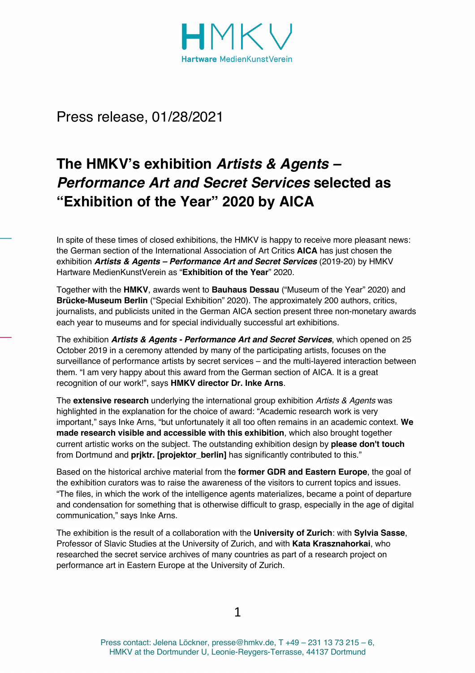

Press release, 01/28/2021

# **The HMKV's exhibition** *Artists & Agents – Performance Art and Secret Services* **selected as "Exhibition of the Year" 2020 by AICA**

In spite of these times of closed exhibitions, the HMKV is happy to receive more pleasant news: the German section of the International Association of Art Critics **AICA** has just chosen the exhibition *Artists & Agents – Performance Art and Secret Services* (2019-20) by HMKV Hartware MedienKunstVerein as "**Exhibition of the Year**" 2020.

Together with the **HMKV**, awards went to **Bauhaus Dessau** ("Museum of the Year" 2020) and **Brücke-Museum Berlin** ("Special Exhibition" 2020). The approximately 200 authors, critics, journalists, and publicists united in the German AICA section present three non-monetary awards each year to museums and for special individually successful art exhibitions.

The exhibition *Artists & Agents - Performance Art and Secret Services*, which opened on 25 October 2019 in a ceremony attended by many of the participating artists, focuses on the surveillance of performance artists by secret services – and the multi-layered interaction between them. "I am very happy about this award from the German section of AICA. It is a great recognition of our work!", says **HMKV director Dr. Inke Arns**.

The **extensive research** underlying the international group exhibition *Artists & Agents* was highlighted in the explanation for the choice of award: "Academic research work is very important," says Inke Arns, "but unfortunately it all too often remains in an academic context. **We made research visible and accessible with this exhibition**, which also brought together current artistic works on the subject. The outstanding exhibition design by **please don't touch** from Dortmund and **prjktr. [projektor\_berlin]** has significantly contributed to this."

Based on the historical archive material from the **former GDR and Eastern Europe**, the goal of the exhibition curators was to raise the awareness of the visitors to current topics and issues. "The files, in which the work of the intelligence agents materializes, became a point of departure and condensation for something that is otherwise difficult to grasp, especially in the age of digital communication," says Inke Arns.

The exhibition is the result of a collaboration with the **University of Zurich**: with **Sylvia Sasse**, Professor of Slavic Studies at the University of Zurich, and with **Kata Krasznahorkai**, who researched the secret service archives of many countries as part of a research project on performance art in Eastern Europe at the University of Zurich.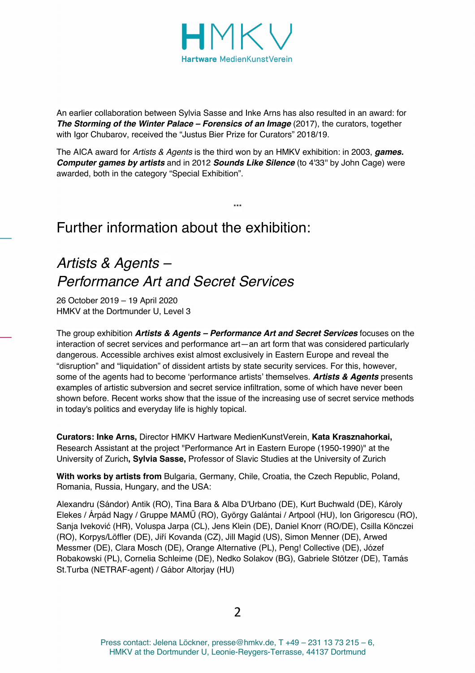

An earlier collaboration between Sylvia Sasse and Inke Arns has also resulted in an award: for *The Storming of the Winter Palace – Forensics of an Image* (2017), the curators, together with Igor Chubarov, received the "Justus Bier Prize for Curators" 2018/19.

The AICA award for *Artists & Agents* is the third won by an HMKV exhibition: in 2003, *games. Computer games by artists* and in 2012 *Sounds Like Silence* (to 4'33'' by John Cage) were awarded, both in the category "Special Exhibition".

\*\*\*

## Further information about the exhibition:

## *Artists & Agents – Performance Art and Secret Services*

26 October 2019 – 19 April 2020 HMKV at the Dortmunder U, Level 3

The group exhibition *Artists & Agents – Performance Art and Secret Services* focuses on the interaction of secret services and performance art—an art form that was considered particularly dangerous. Accessible archives exist almost exclusively in Eastern Europe and reveal the "disruption" and "liquidation" of dissident artists by state security services. For this, however, some of the agents had to become 'performance artists' themselves. *Artists & Agents* presents examples of artistic subversion and secret service infiltration, some of which have never been shown before. Recent works show that the issue of the increasing use of secret service methods in today's politics and everyday life is highly topical.

**Curators: Inke Arns,** Director HMKV Hartware MedienKunstVerein, **Kata Krasznahorkai,**  Research Assistant at the project "Performance Art in Eastern Europe (1950-1990)" at the University of Zurich**, Sylvia Sasse,** Professor of Slavic Studies at the University of Zurich

**With works by artists from** Bulgaria, Germany, Chile, Croatia, the Czech Republic, Poland, Romania, Russia, Hungary, and the USA:

Alexandru (Sándor) Antik (RO), Tina Bara & Alba D'Urbano (DE), Kurt Buchwald (DE), Károly Elekes / Árpád Nagy / Gruppe MAMŰ (RO), György Galántai / Artpool (HU), Ion Grigorescu (RO), Sanja Iveković (HR), Voluspa Jarpa (CL), Jens Klein (DE), Daniel Knorr (RO/DE), Csilla Könczei (RO), Korpys/Löffler (DE), Jiří Kovanda (CZ), Jill Magid (US), Simon Menner (DE), Arwed Messmer (DE), Clara Mosch (DE), Orange Alternative (PL), Peng! Collective (DE), Józef Robakowski (PL), Cornelia Schleime (DE), Nedko Solakov (BG), Gabriele Stötzer (DE), Tamás St.Turba (NETRAF-agent) / Gábor Altorjay (HU)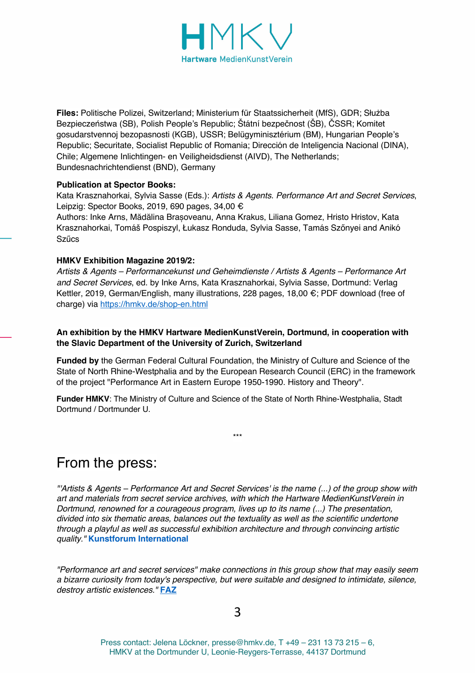

**Files:** Politische Polizei, Switzerland; Ministerium für Staatssicherheit (MfS), GDR; Służba Bezpieczeństwa (SB), Polish People's Republic; Štátní bezpečnost (ŠB), ČSSR; Komitet gosudarstvennoj bezopasnosti (KGB), USSR; Belügyminisztérium (BM), Hungarian People's Republic; Securitate, Socialist Republic of Romania; Dirección de Inteligencia Nacional (DINA), Chile; Algemene Inlichtingen- en Veiligheidsdienst (AIVD), The Netherlands; Bundesnachrichtendienst (BND), Germany

#### **Publication at Spector Books:**

Kata Krasznahorkai, Sylvia Sasse (Eds.): *Artists & Agents. Performance Art and Secret Services*, Leipzig: Spector Books, 2019, 690 pages, 34,00 €

Authors: Inke Arns, Mădălina Brașoveanu, Anna Krakus, Liliana Gomez, Hristo Hristov, Kata Krasznahorkai, Tomáš Pospiszyl, Łukasz Ronduda, Sylvia Sasse, Tamás Szőnyei and Anikó Szűcs

#### **HMKV Exhibition Magazine 2019/2:**

*Artists & Agents – Performancekunst und Geheimdienste / Artists & Agents – Performance Art and Secret Services*, ed. by Inke Arns, Kata Krasznahorkai, Sylvia Sasse, Dortmund: Verlag Kettler, 2019, German/English, many illustrations, 228 pages, 18,00 €; PDF download (free of charge) via https://hmkv.de/shop-en.html

#### **An exhibition by the HMKV Hartware MedienKunstVerein, Dortmund, in cooperation with the Slavic Department of the University of Zurich, Switzerland**

**Funded by** the German Federal Cultural Foundation, the Ministry of Culture and Science of the State of North Rhine-Westphalia and by the European Research Council (ERC) in the framework of the project "Performance Art in Eastern Europe 1950-1990. History and Theory".

\*\*\*

**Funder HMKV**: The Ministry of Culture and Science of the State of North Rhine-Westphalia, Stadt Dortmund / Dortmunder U.

## From the press:

*"'Artists & Agents – Performance Art and Secret Services' is the name (...) of the group show with art and materials from secret service archives, with which the Hartware MedienKunstVerein in Dortmund, renowned for a courageous program, lives up to its name (...) The presentation, divided into six thematic areas, balances out the textuality as well as the scientific undertone through a playful as well as successful exhibition architecture and through convincing artistic quality."* **Kunstforum International** 

*"Performance art and secret services" make connections in this group show that may easily seem a bizarre curiosity from today's perspective, but were suitable and designed to intimidate, silence, destroy artistic existences."* **FAZ**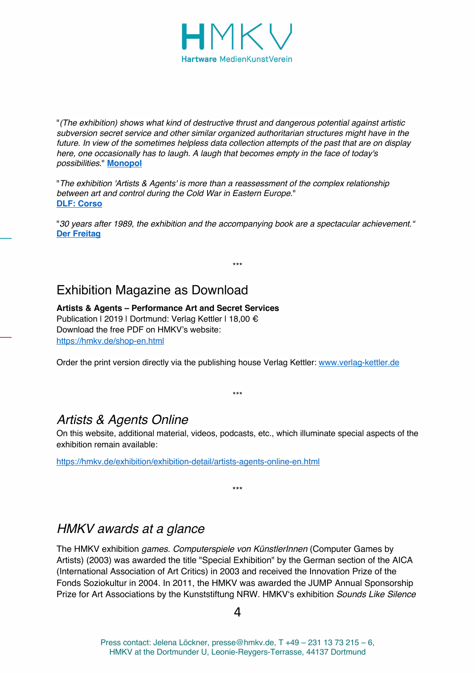

"*(The exhibition) shows what kind of destructive thrust and dangerous potential against artistic subversion secret service and other similar organized authoritarian structures might have in the future. In view of the sometimes helpless data collection attempts of the past that are on display here, one occasionally has to laugh. A laugh that becomes empty in the face of today's possibilities*." **Monopol**

"*The exhibition 'Artists & Agents' is more than a reassessment of the complex relationship between art and control during the Cold War in Eastern Europe*." **DLF: Corso**

"*30 years after 1989*, *the exhibition and the accompanying book are a spectacular achievement."*  **Der Freitag**

\*\*\*

### Exhibition Magazine as Download

**Artists & Agents – Performance Art and Secret Services** Publication | 2019 | Dortmund: Verlag Kettler | 18,00 € Download the free PDF on HMKV's website: https://hmkv.de/shop-en.html

Order the print version directly via the publishing house Verlag Kettler: www.verlag-kettler.de

### *Artists & Agents Online*

On this website, additional material, videos, podcasts, etc., which illuminate special aspects of the exhibition remain available:

\*\*\*

\*\*\*

https://hmkv.de/exhibition/exhibition-detail/artists-agents-online-en.html

### *HMKV awards at a glance*

The HMKV exhibition *games. Computerspiele von KünstlerInnen* (Computer Games by Artists) (2003) was awarded the title "Special Exhibition" by the German section of the AICA (International Association of Art Critics) in 2003 and received the Innovation Prize of the Fonds Soziokultur in 2004. In 2011, the HMKV was awarded the JUMP Annual Sponsorship Prize for Art Associations by the Kunststiftung NRW. HMKV's exhibition *Sounds Like Silence*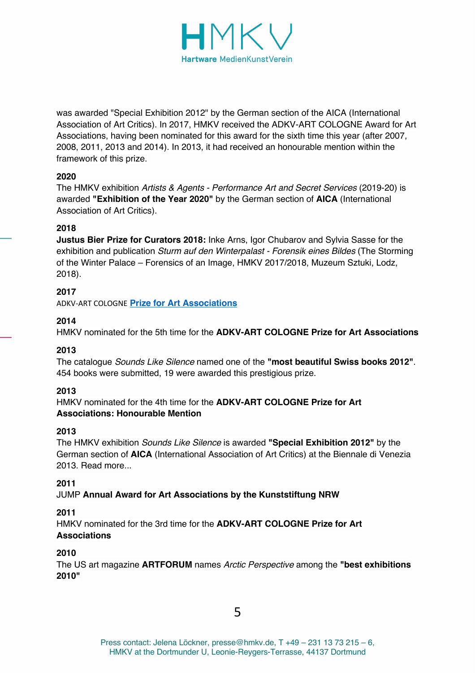

was awarded "Special Exhibition 2012" by the German section of the AICA (International Association of Art Critics). In 2017, HMKV received the ADKV-ART COLOGNE Award for Art Associations, having been nominated for this award for the sixth time this year (after 2007, 2008, 2011, 2013 and 2014). In 2013, it had received an honourable mention within the framework of this prize.

#### **2020**

The HMKV exhibition *Artists & Agents - Performance Art and Secret Services* (2019-20) is awarded **"Exhibition of the Year 2020"** by the German section of **AICA** (International Association of Art Critics).

#### **2018**

**Justus Bier Prize for Curators 2018:** Inke Arns, Igor Chubarov and Sylvia Sasse for the exhibition and publication *Sturm auf den Winterpalast - Forensik eines Bildes* (The Storming of the Winter Palace – Forensics of an Image, HMKV 2017/2018, Muzeum Sztuki, Lodz, 2018).

#### **2017**

ADKV-ART COLOGNE **Prize for Art Associations**

#### **2014**

HMKV nominated for the 5th time for the **ADKV-ART COLOGNE Prize for Art Associations**

#### **2013**

The catalogue *Sounds Like Silence* named one of the **"most beautiful Swiss books 2012"**. 454 books were submitted, 19 were awarded this prestigious prize.

#### **2013**

HMKV nominated for the 4th time for the **ADKV-ART COLOGNE Prize for Art Associations: Honourable Mention**

#### **2013**

The HMKV exhibition *Sounds Like Silence* is awarded **"Special Exhibition 2012"** by the German section of **AICA** (International Association of Art Critics) at the Biennale di Venezia 2013. Read more

#### **2011**

JUMP **Annual Award for Art Associations by the Kunststiftung NRW**

#### **2011**

HMKV nominated for the 3rd time for the **ADKV-ART COLOGNE Prize for Art Associations**

#### **2010**

The US art magazine **ARTFORUM** names *Arctic Perspective* among the **"best exhibitions 2010"**